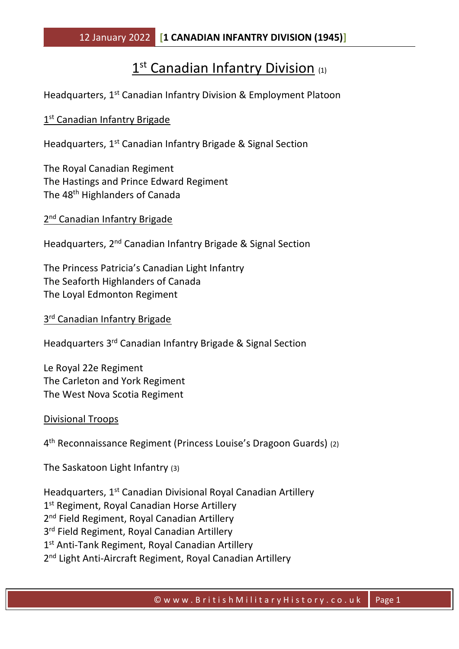## 1<sup>st</sup> Canadian Infantry Division (1)

Headquarters, 1<sup>st</sup> Canadian Infantry Division & Employment Platoon

## 1<sup>st</sup> Canadian Infantry Brigade

Headquarters, 1<sup>st</sup> Canadian Infantry Brigade & Signal Section

The Royal Canadian Regiment The Hastings and Prince Edward Regiment The 48th Highlanders of Canada

2<sup>nd</sup> Canadian Infantry Brigade

Headquarters, 2<sup>nd</sup> Canadian Infantry Brigade & Signal Section

The Princess Patricia's Canadian Light Infantry The Seaforth Highlanders of Canada The Loyal Edmonton Regiment

3<sup>rd</sup> Canadian Infantry Brigade

Headquarters 3rd Canadian Infantry Brigade & Signal Section

Le Royal 22e Regiment The Carleton and York Regiment The West Nova Scotia Regiment

Divisional Troops

4 th Reconnaissance Regiment (Princess Louise's Dragoon Guards) (2)

The Saskatoon Light Infantry (3)

Headquarters, 1st Canadian Divisional Royal Canadian Artillery 1st Regiment, Royal Canadian Horse Artillery 2<sup>nd</sup> Field Regiment, Royal Canadian Artillery 3<sup>rd</sup> Field Regiment, Royal Canadian Artillery 1<sup>st</sup> Anti-Tank Regiment, Royal Canadian Artillery 2<sup>nd</sup> Light Anti-Aircraft Regiment, Royal Canadian Artillery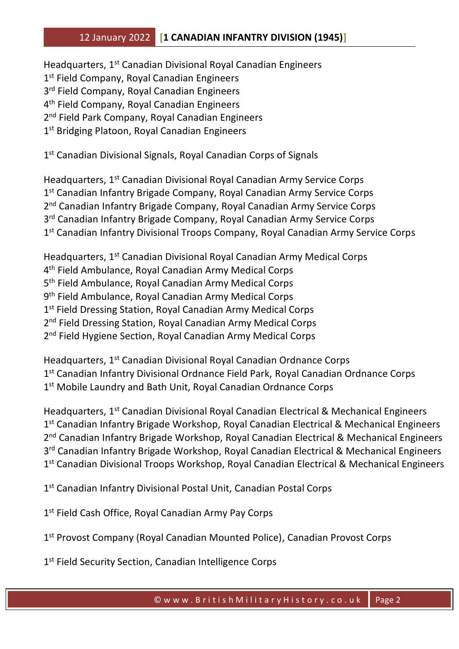## 12 January 2022 **[1 CANADIAN INFANTRY DIVISION (1945)]**

Headquarters, 1st Canadian Divisional Royal Canadian Engineers 1 st Field Company, Royal Canadian Engineers 3<sup>rd</sup> Field Company, Royal Canadian Engineers 4 th Field Company, Royal Canadian Engineers 2<sup>nd</sup> Field Park Company, Royal Canadian Engineers 1st Bridging Platoon, Royal Canadian Engineers

1 st Canadian Divisional Signals, Royal Canadian Corps of Signals

Headquarters, 1<sup>st</sup> Canadian Divisional Royal Canadian Army Service Corps 1<sup>st</sup> Canadian Infantry Brigade Company, Royal Canadian Army Service Corps 2<sup>nd</sup> Canadian Infantry Brigade Company, Royal Canadian Army Service Corps 3<sup>rd</sup> Canadian Infantry Brigade Company, Royal Canadian Army Service Corps 1<sup>st</sup> Canadian Infantry Divisional Troops Company, Royal Canadian Army Service Corps

Headquarters, 1st Canadian Divisional Royal Canadian Army Medical Corps 4 th Field Ambulance, Royal Canadian Army Medical Corps 5<sup>th</sup> Field Ambulance, Royal Canadian Army Medical Corps 9<sup>th</sup> Field Ambulance, Royal Canadian Army Medical Corps 1st Field Dressing Station, Royal Canadian Army Medical Corps 2<sup>nd</sup> Field Dressing Station, Royal Canadian Army Medical Corps 2<sup>nd</sup> Field Hygiene Section, Royal Canadian Army Medical Corps

Headquarters, 1st Canadian Divisional Royal Canadian Ordnance Corps 1<sup>st</sup> Canadian Infantry Divisional Ordnance Field Park, Royal Canadian Ordnance Corps 1<sup>st</sup> Mobile Laundry and Bath Unit, Royal Canadian Ordnance Corps

Headquarters, 1st Canadian Divisional Royal Canadian Electrical & Mechanical Engineers 1<sup>st</sup> Canadian Infantry Brigade Workshop, Royal Canadian Electrical & Mechanical Engineers 2<sup>nd</sup> Canadian Infantry Brigade Workshop, Royal Canadian Electrical & Mechanical Engineers 3<sup>rd</sup> Canadian Infantry Brigade Workshop, Royal Canadian Electrical & Mechanical Engineers 1<sup>st</sup> Canadian Divisional Troops Workshop, Royal Canadian Electrical & Mechanical Engineers

1<sup>st</sup> Canadian Infantry Divisional Postal Unit, Canadian Postal Corps

1st Field Cash Office, Royal Canadian Army Pay Corps

1<sup>st</sup> Provost Company (Royal Canadian Mounted Police), Canadian Provost Corps

1<sup>st</sup> Field Security Section, Canadian Intelligence Corps